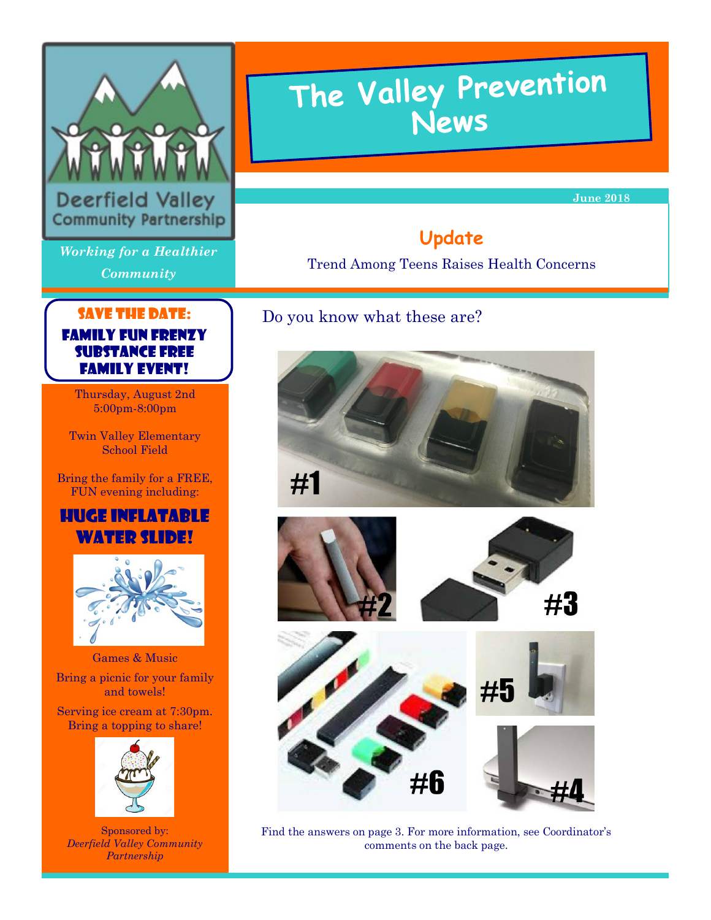

Deerfield Valley **Community Partnership** 

*Working for a Healthier Community*

# The Valley Prevention<br>News

**June 2018** 

# **Update**

Trend Among Teens Raises Health Concerns

# Do you know what these are?







Find the answers on page 3. For more information, see Coordinator's comments on the back page.

## SAVE the date: Family Fun Frenzy Substance Free Family Event!

Thursday, August 2nd 5:00pm-8:00pm

Twin Valley Elementary School Field

Bring the family for a FREE, FUN evening including:

## Huge Inflatable WATER SLIDE!



Games & Music

Bring a picnic for your family and towels!

Serving ice cream at 7:30pm. Bring a topping to share!



Sponsored by: *Deerfield Valley Community Partnership*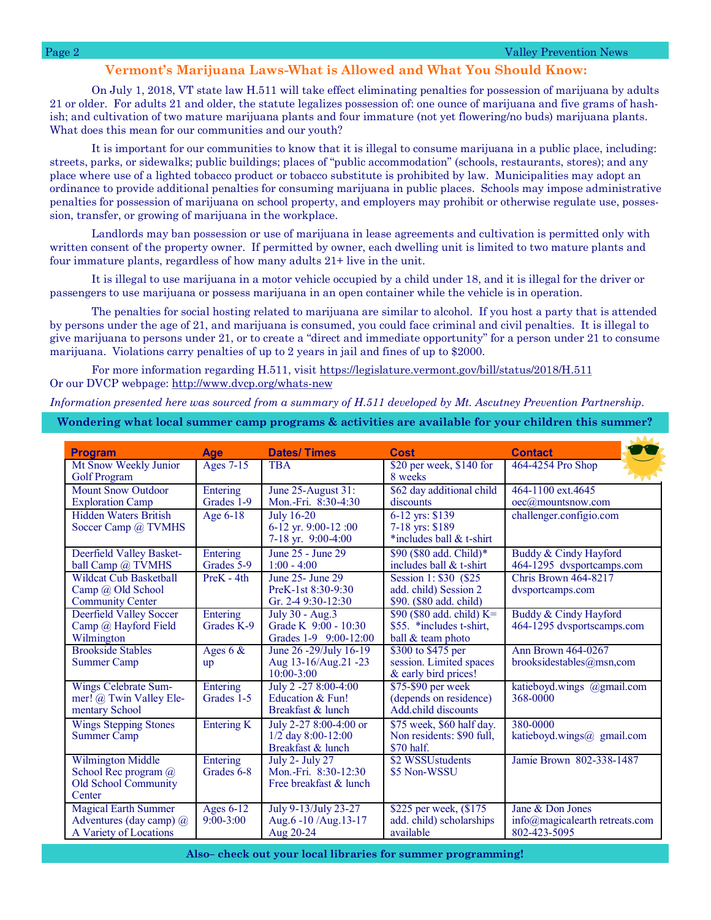## **Vermont's Marijuana Laws-What is Allowed and What You Should Know:**

On July 1, 2018, VT state law H.511 will take effect eliminating penalties for possession of marijuana by adults 21 or older. For adults 21 and older, the statute legalizes possession of: one ounce of marijuana and five grams of hashish; and cultivation of two mature marijuana plants and four immature (not yet flowering/no buds) marijuana plants. What does this mean for our communities and our youth?

It is important for our communities to know that it is illegal to consume marijuana in a public place, including: streets, parks, or sidewalks; public buildings; places of "public accommodation" (schools, restaurants, stores); and any place where use of a lighted tobacco product or tobacco substitute is prohibited by law. Municipalities may adopt an ordinance to provide additional penalties for consuming marijuana in public places. Schools may impose administrative penalties for possession of marijuana on school property, and employers may prohibit or otherwise regulate use, possession, transfer, or growing of marijuana in the workplace.

Landlords may ban possession or use of marijuana in lease agreements and cultivation is permitted only with written consent of the property owner. If permitted by owner, each dwelling unit is limited to two mature plants and four immature plants, regardless of how many adults 21+ live in the unit.

It is illegal to use marijuana in a motor vehicle occupied by a child under 18, and it is illegal for the driver or passengers to use marijuana or possess marijuana in an open container while the vehicle is in operation.

The penalties for social hosting related to marijuana are similar to alcohol. If you host a party that is attended by persons under the age of 21, and marijuana is consumed, you could face criminal and civil penalties. It is illegal to give marijuana to persons under 21, or to create a "direct and immediate opportunity" for a person under 21 to consume marijuana. Violations carry penalties of up to 2 years in jail and fines of up to \$2000.

For more information regarding H.511, visit https://legislature.vermont.gov/bill/status/2018/H.511 Or our DVCP webpage: http://www.dvcp.org/whats-new

*Information presented here was sourced from a summary of H.511 developed by Mt. Ascutney Prevention Partnership.* 

**Wondering what local summer camp programs & activities are available for your children this summer?**

| <b>Program</b>                                                                            | <b>Age</b>               | <b>Dates/Times</b>                                                       | <b>Cost</b>                                                                | <b>Contact</b>                                                     |
|-------------------------------------------------------------------------------------------|--------------------------|--------------------------------------------------------------------------|----------------------------------------------------------------------------|--------------------------------------------------------------------|
| Mt Snow Weekly Junior<br><b>Golf Program</b>                                              | Ages 7-15                | <b>TRA</b>                                                               | \$20 per week, \$140 for<br>8 weeks                                        | 464-4254 Pro Shop                                                  |
| <b>Mount Snow Outdoor</b><br><b>Exploration Camp</b>                                      | Entering<br>Grades 1-9   | June 25-August 31:<br>Mon.-Fri. 8:30-4:30                                | \$62 day additional child<br>discounts                                     | 464-1100 ext. 4645<br>oec@mountsnow.com                            |
| <b>Hidden Waters British</b><br>Soccer Camp @ TVMHS                                       | Age 6-18                 | <b>July 16-20</b><br>6-12 yr. 9:00-12:00<br>7-18 yr. 9:00-4:00           | 6-12 yrs: \$139<br>7-18 yrs: \$189<br>*includes ball & t-shirt             | challenger.configio.com                                            |
| Deerfield Valley Basket-<br>ball Camp @ TVMHS                                             | Entering<br>Grades 5-9   | June 25 - June 29<br>$1:00 - 4:00$                                       | \$90 (\$80 add. Child)*<br>includes ball & t-shirt                         | Buddy & Cindy Hayford<br>464-1295 dvsportcamps.com                 |
| <b>Wildcat Cub Basketball</b><br>Camp @ Old School<br><b>Community Center</b>             | PreK - 4th               | June 25- June 29<br>PreK-1st 8:30-9:30<br>Gr. 2-4 9:30-12:30             | Session 1: \$30 (\$25)<br>add. child) Session 2<br>\$90. (\$80 add. child) | Chris Brown 464-8217<br>dysportcamps.com                           |
| Deerfield Valley Soccer<br>Camp @ Hayford Field<br>Wilmington                             | Entering<br>Grades K-9   | July 30 - Aug.3<br>Grade K $9:00 - 10:30$<br>Grades 1-9 9:00-12:00       | \$90 (\$80 add. child) K=<br>\$55. *includes t-shirt.<br>ball & team photo | Buddy & Cindy Hayford<br>464-1295 dvsportscamps.com                |
| <b>Brookside Stables</b><br><b>Summer Camp</b>                                            | Ages $6 &$<br>up         | June 26 -29/July 16-19<br>Aug 13-16/Aug 21-23<br>$10:00 - 3:00$          | \$300 to \$475 per<br>session. Limited spaces<br>& early bird prices!      | Ann Brown 464-0267<br>brooksidestables@msn,com                     |
| <b>Wings Celebrate Sum-</b><br>mer! @ Twin Valley Ele-<br>mentary School                  | Entering<br>Grades 1-5   | July 2 -27 8:00-4:00<br>Education & Fun!<br>Breakfast & lunch            | \$75-\$90 per week<br>(depends on residence)<br>Add.child discounts        | katieboyd.wings @gmail.com<br>368-0000                             |
| <b>Wings Stepping Stones</b><br><b>Summer Camp</b>                                        | Entering K               | July 2-27 8:00-4:00 or<br>1/2 day 8:00-12:00<br>Breakfast & lunch        | \$75 week, \$60 half day.<br>Non residents: \$90 full,<br>\$70 half.       | 380-0000<br>katieboyd.wings@ gmail.com                             |
| <b>Wilmington Middle</b><br>School Rec program @<br><b>Old School Community</b><br>Center | Entering<br>Grades 6-8   | <b>July 2- July 27</b><br>Mon.-Fri. 8:30-12:30<br>Free breakfast & lunch | \$2 WSSUstudents<br>\$5 Non-WSSU                                           | Jamie Brown 802-338-1487                                           |
| <b>Magical Earth Summer</b><br>Adventures (day camp) $(a)$<br>A Variety of Locations      | Ages 6-12<br>$9:00-3:00$ | July 9-13/July 23-27<br>Aug.6 -10 /Aug.13-17<br>Aug 20-24                | \$225 per week, (\$175)<br>add. child) scholarships<br>available           | Jane & Don Jones<br>info@magicalearth retreats.com<br>802-423-5095 |

**Also– check out your local libraries for summer programming!**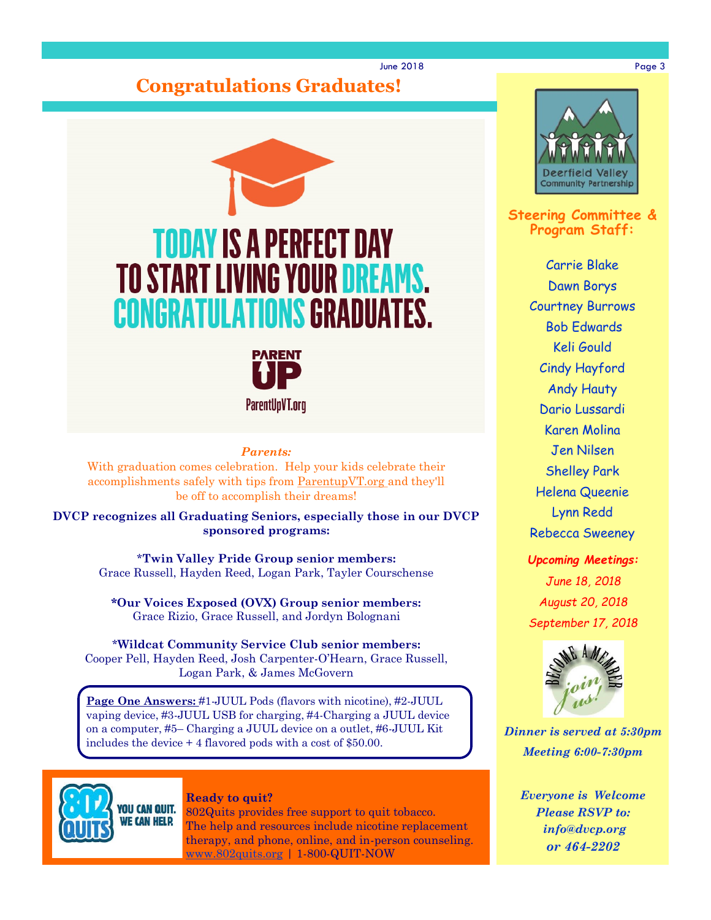# **Congratulations Graduates!**





#### *Parents:*

With graduation comes celebration. Help your kids celebrate their accomplishments safely with tips from ParentupVT.org and they'll be off to accomplish their dreams!

**DVCP recognizes all Graduating Seniors, especially those in our DVCP sponsored programs:** 

> \***Twin Valley Pride Group senior members:**  Grace Russell, Hayden Reed, Logan Park, Tayler Courschense

**\*Our Voices Exposed (OVX) Group senior members:** Grace Rizio, Grace Russell, and Jordyn Bolognani

\***Wildcat Community Service Club senior members:**  Cooper Pell, Hayden Reed, Josh Carpenter-O'Hearn, Grace Russell, Logan Park, & James McGovern

**Page One Answers:** #1-JUUL Pods (flavors with nicotine), #2-JUUL vaping device, #3-JUUL USB for charging, #4-Charging a JUUL device on a computer, #5– Charging a JUUL device on a outlet, #6-JUUL Kit includes the device + 4 flavored pods with a cost of \$50.00.



### **Ready to quit?**

802Quits provides free support to quit tobacco. The help and resources include nicotine replacement therapy, and phone, online, and in-person counseling. [www.802quits.org](http://802quits.org/) | 1-800-QUIT-NOW

![](_page_2_Picture_13.jpeg)

**Steering Committee & Program Staff:**

> Carrie Blake Dawn Borys Courtney Burrows Bob Edwards Keli Gould Cindy Hayford Andy Hauty Dario Lussardi Karen Molina Jen Nilsen Shelley Park Helena Queenie Lynn Redd Rebecca Sweeney

*Upcoming Meetings: June 18, 2018 August 20, 2018*

*September 17, 2018*

![](_page_2_Picture_18.jpeg)

*Dinner is served at 5:30pm Meeting 6:00-7:30pm*

*Everyone is Welcome Please RSVP to: info@dvcp.org or 464-2202*

#### June 2018 Page 3